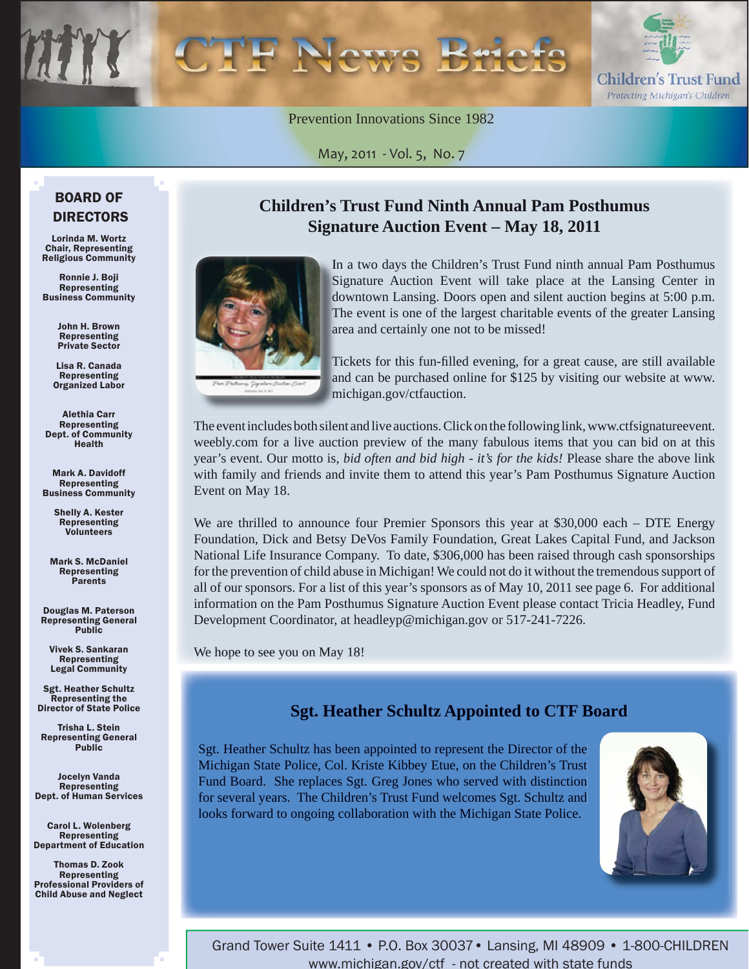

Prevention Innovations Since 1982

May, 2011 - Vol. 5, No. 7

#### BOARD OF DIRECTORS

Lorinda M. Wortz Chair, Representing Religious Community

Ronnie J. Boji **Representing** Business Community

> John H. Brown Representing Private Sector

Lisa R. Canada Representing Organized Labor

Alethia Carr Representing Dept. of Community Health

Mark A. Davidoff Representing Business Community

> Shelly A. Kester Representing **Volunteers**

Mark S. McDaniel Representing Parents

Douglas M. Paterson Representing General Public

Vivek S. Sankaran Representing Legal Community

Sgt. Heather Schultz Representing the Director of State Police

Trisha L. Stein Representing General **Public** 

Jocelyn Vanda Representing Dept. of Human Services

Carol L. Wolenberg Representing Department of Education

Thomas D. Zook Representing Professional Providers of Child Abuse and Neglect

### **Children's Trust Fund Ninth Annual Pam Posthumus Signature Auction Event – May 18, 2011**



n a two days the Children's Trust Fund ninth annual Pam Posthumus In I Signature Auction Event will take place at the Lansing Center in downtown Lansing. Doors open and silent auction begins at 5:00 p.m. The event is one of the largest charitable events of the greater Lansing area and certainly one not to be missed!

Tickets for this fun-filled evening, for a great cause, are still available and can be purchased online for \$125 by visiting our website at www. michigan.gov/ctfauction. m

The event includes both silent and live auctions. Click on the following link, www.ctfsignatureevent. weebly.com for a live auction preview of the many fabulous items that you can bid on at this year's event. Our motto is, *bid often and bid high - it's for the kids!* Please share the above link with family and friends and invite them to attend this year's Pam Posthumus Signature Auction Event on May 18.

We are thrilled to announce four Premier Sponsors this year at \$30,000 each – DTE Energy Foundation, Dick and Betsy DeVos Family Foundation, Great Lakes Capital Fund, and Jackson National Life Insurance Company. To date, \$306,000 has been raised through cash sponsorships for the prevention of child abuse in Michigan! We could not do it without the tremendous support of all of our sponsors. For a list of this year's sponsors as of May 10, 2011 see page 6. For additional information on the Pam Posthumus Signature Auction Event please contact Tricia Headley, Fund Development Coordinator, at headleyp@michigan.gov or 517-241-7226.

We hope to see you on May 18!

### **Sgt. Heather Schultz Appointed to CTF Board**

Sgt. Heather Schultz has been appointed to represent the Director of the Michigan State Police, Col. Kriste Kibbey Etue, on the Children's Trust Fund Board. She replaces Sgt. Greg Jones who served with distinction for several years. The Children's Trust Fund welcomes Sgt. Schultz and looks forward to ongoing collaboration with the Michigan State Police.



Grand Tower Suite 1411 • P.O. Box 30037• Lansing, MI 48909 • 1-800-CHILDREN www.michigan.gov/ctf - not created with state funds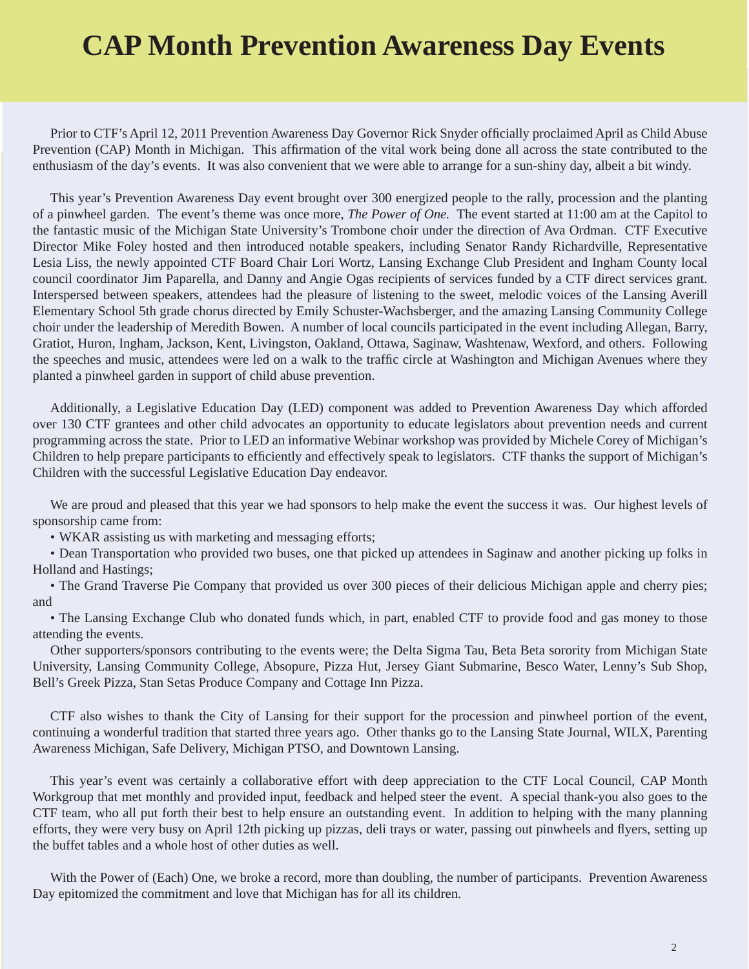# **CAP Month Prevention Awareness Day Events**

Prior to CTF's April 12, 2011 Prevention Awareness Day Governor Rick Snyder officially proclaimed April as Child Abuse Prevention (CAP) Month in Michigan. This affirmation of the vital work being done all across the state contributed to the enthusiasm of the day's events. It was also convenient that we were able to arrange for a sun-shiny day, albeit a bit windy.

This year's Prevention Awareness Day event brought over 300 energized people to the rally, procession and the planting of a pinwheel garden. The event's theme was once more, *The Power of One.* The event started at 11:00 am at the Capitol to the fantastic music of the Michigan State University's Trombone choir under the direction of Ava Ordman. CTF Executive Director Mike Foley hosted and then introduced notable speakers, including Senator Randy Richardville, Representative Lesia Liss, the newly appointed CTF Board Chair Lori Wortz, Lansing Exchange Club President and Ingham County local council coordinator Jim Paparella, and Danny and Angie Ogas recipients of services funded by a CTF direct services grant. Interspersed between speakers, attendees had the pleasure of listening to the sweet, melodic voices of the Lansing Averill Elementary School 5th grade chorus directed by Emily Schuster-Wachsberger, and the amazing Lansing Community College choir under the leadership of Meredith Bowen. A number of local councils participated in the event including Allegan, Barry, Gratiot, Huron, Ingham, Jackson, Kent, Livingston, Oakland, Ottawa, Saginaw, Washtenaw, Wexford, and others. Following the speeches and music, attendees were led on a walk to the traffic circle at Washington and Michigan Avenues where they planted a pinwheel garden in support of child abuse prevention.

Additionally, a Legislative Education Day (LED) component was added to Prevention Awareness Day which afforded over 130 CTF grantees and other child advocates an opportunity to educate legislators about prevention needs and current programming across the state. Prior to LED an informative Webinar workshop was provided by Michele Corey of Michigan's Children to help prepare participants to efficiently and effectively speak to legislators. CTF thanks the support of Michigan's Children with the successful Legislative Education Day endeavor.

We are proud and pleased that this year we had sponsors to help make the event the success it was. Our highest levels of sponsorship came from:

• WKAR assisting us with marketing and messaging efforts;

• Dean Transportation who provided two buses, one that picked up attendees in Saginaw and another picking up folks in Holland and Hastings;

• The Grand Traverse Pie Company that provided us over 300 pieces of their delicious Michigan apple and cherry pies; and

• The Lansing Exchange Club who donated funds which, in part, enabled CTF to provide food and gas money to those attending the events.

Other supporters/sponsors contributing to the events were; the Delta Sigma Tau, Beta Beta sorority from Michigan State University, Lansing Community College, Absopure, Pizza Hut, Jersey Giant Submarine, Besco Water, Lenny's Sub Shop, Bell's Greek Pizza, Stan Setas Produce Company and Cottage Inn Pizza.

CTF also wishes to thank the City of Lansing for their support for the procession and pinwheel portion of the event, continuing a wonderful tradition that started three years ago. Other thanks go to the Lansing State Journal, WILX, Parenting Awareness Michigan, Safe Delivery, Michigan PTSO, and Downtown Lansing.

This year's event was certainly a collaborative effort with deep appreciation to the CTF Local Council, CAP Month Workgroup that met monthly and provided input, feedback and helped steer the event. A special thank-you also goes to the CTF team, who all put forth their best to help ensure an outstanding event. In addition to helping with the many planning efforts, they were very busy on April 12th picking up pizzas, deli trays or water, passing out pinwheels and flyers, setting up the buffet tables and a whole host of other duties as well.

With the Power of (Each) One, we broke a record, more than doubling, the number of participants. Prevention Awareness Day epitomized the commitment and love that Michigan has for all its children.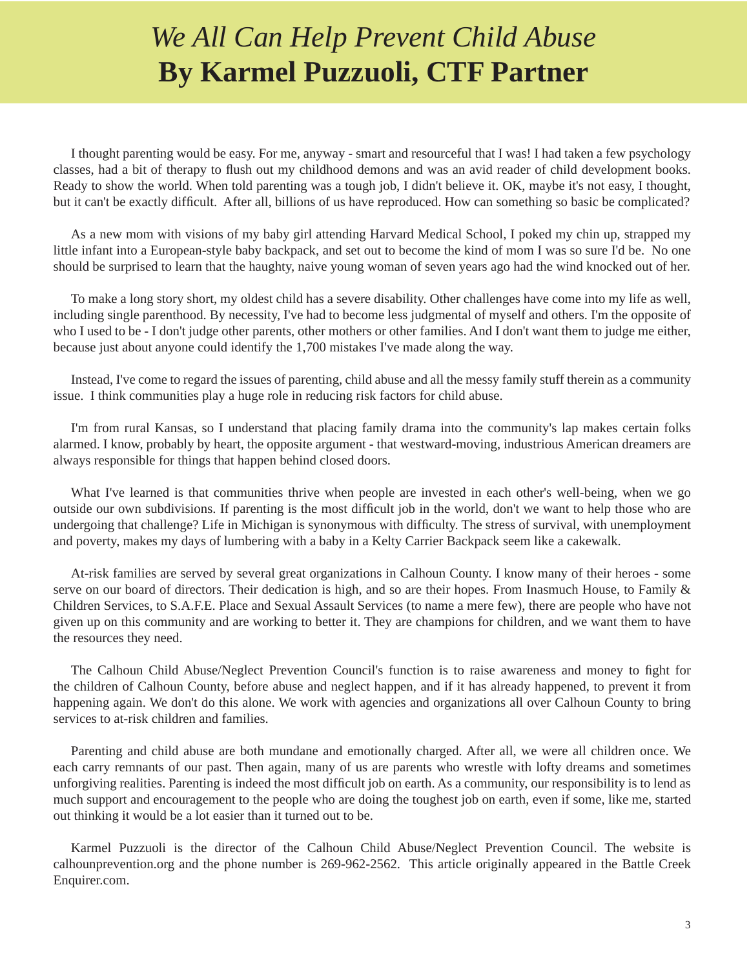# *We All Can Help Prevent Child Abuse* **By Karmel Puzzuoli, CTF Partner**

I thought parenting would be easy. For me, anyway - smart and resourceful that I was! I had taken a few psychology classes, had a bit of therapy to flush out my childhood demons and was an avid reader of child development books. Ready to show the world. When told parenting was a tough job, I didn't believe it. OK, maybe it's not easy, I thought, but it can't be exactly difficult. After all, billions of us have reproduced. How can something so basic be complicated?

As a new mom with visions of my baby girl attending Harvard Medical School, I poked my chin up, strapped my little infant into a European-style baby backpack, and set out to become the kind of mom I was so sure I'd be. No one should be surprised to learn that the haughty, naive young woman of seven years ago had the wind knocked out of her.

To make a long story short, my oldest child has a severe disability. Other challenges have come into my life as well, including single parenthood. By necessity, I've had to become less judgmental of myself and others. I'm the opposite of who I used to be - I don't judge other parents, other mothers or other families. And I don't want them to judge me either, because just about anyone could identify the 1,700 mistakes I've made along the way.

Instead, I've come to regard the issues of parenting, child abuse and all the messy family stuff therein as a community issue. I think communities play a huge role in reducing risk factors for child abuse.

I'm from rural Kansas, so I understand that placing family drama into the community's lap makes certain folks alarmed. I know, probably by heart, the opposite argument - that westward-moving, industrious American dreamers are always responsible for things that happen behind closed doors.

What I've learned is that communities thrive when people are invested in each other's well-being, when we go outside our own subdivisions. If parenting is the most difficult job in the world, don't we want to help those who are undergoing that challenge? Life in Michigan is synonymous with difficulty. The stress of survival, with unemployment and poverty, makes my days of lumbering with a baby in a Kelty Carrier Backpack seem like a cakewalk.

At-risk families are served by several great organizations in Calhoun County. I know many of their heroes - some serve on our board of directors. Their dedication is high, and so are their hopes. From Inasmuch House, to Family & Children Services, to S.A.F.E. Place and Sexual Assault Services (to name a mere few), there are people who have not given up on this community and are working to better it. They are champions for children, and we want them to have the resources they need.

The Calhoun Child Abuse/Neglect Prevention Council's function is to raise awareness and money to fight for the children of Calhoun County, before abuse and neglect happen, and if it has already happened, to prevent it from happening again. We don't do this alone. We work with agencies and organizations all over Calhoun County to bring services to at-risk children and families.

Parenting and child abuse are both mundane and emotionally charged. After all, we were all children once. We each carry remnants of our past. Then again, many of us are parents who wrestle with lofty dreams and sometimes unforgiving realities. Parenting is indeed the most difficult job on earth. As a community, our responsibility is to lend as much support and encouragement to the people who are doing the toughest job on earth, even if some, like me, started out thinking it would be a lot easier than it turned out to be.

Karmel Puzzuoli is the director of the Calhoun Child Abuse/Neglect Prevention Council. The website is calhounprevention.org and the phone number is 269-962-2562. This article originally appeared in the Battle Creek Enquirer.com.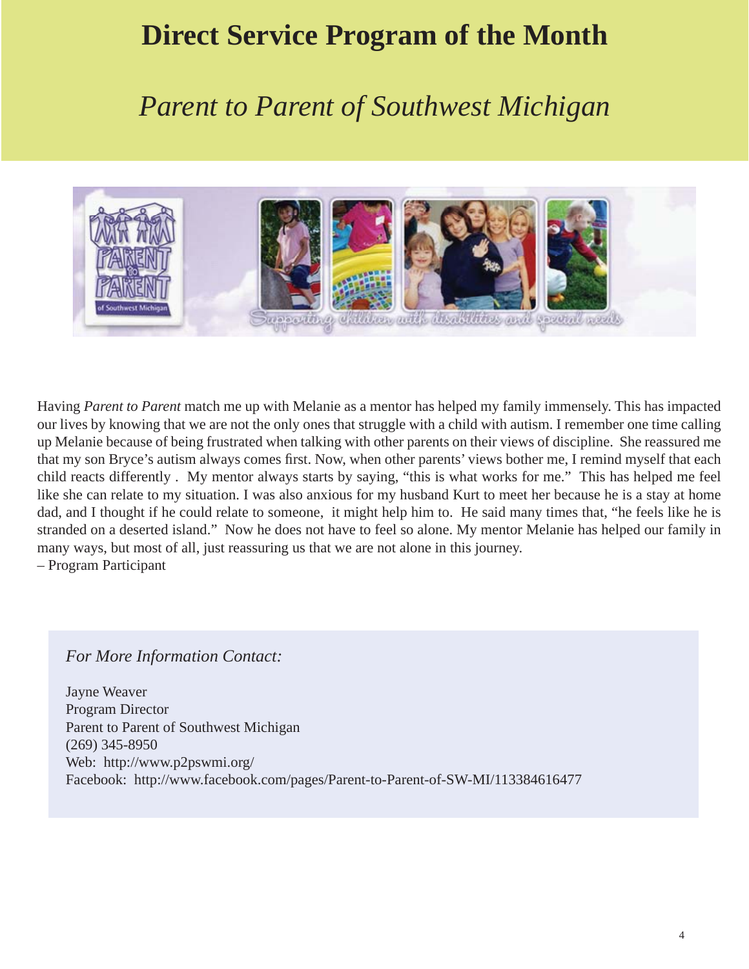# **Direct Service Program of the Month**

## *Parent to Parent of Southwest Michigan*



Having *Parent to Parent* match me up with Melanie as a mentor has helped my family immensely. This has impacted our lives by knowing that we are not the only ones that struggle with a child with autism. I remember one time calling up Melanie because of being frustrated when talking with other parents on their views of discipline. She reassured me that my son Bryce's autism always comes first. Now, when other parents' views bother me, I remind myself that each child reacts differently . My mentor always starts by saying, "this is what works for me." This has helped me feel like she can relate to my situation. I was also anxious for my husband Kurt to meet her because he is a stay at home dad, and I thought if he could relate to someone, it might help him to. He said many times that, "he feels like he is stranded on a deserted island." Now he does not have to feel so alone. My mentor Melanie has helped our family in many ways, but most of all, just reassuring us that we are not alone in this journey. – Program Participant

#### *For More Information Contact:*

Jayne Weaver Program Director Parent to Parent of Southwest Michigan (269) 345-8950 Web: http://www.p2pswmi.org/ Facebook: http://www.facebook.com/pages/Parent-to-Parent-of-SW-MI/113384616477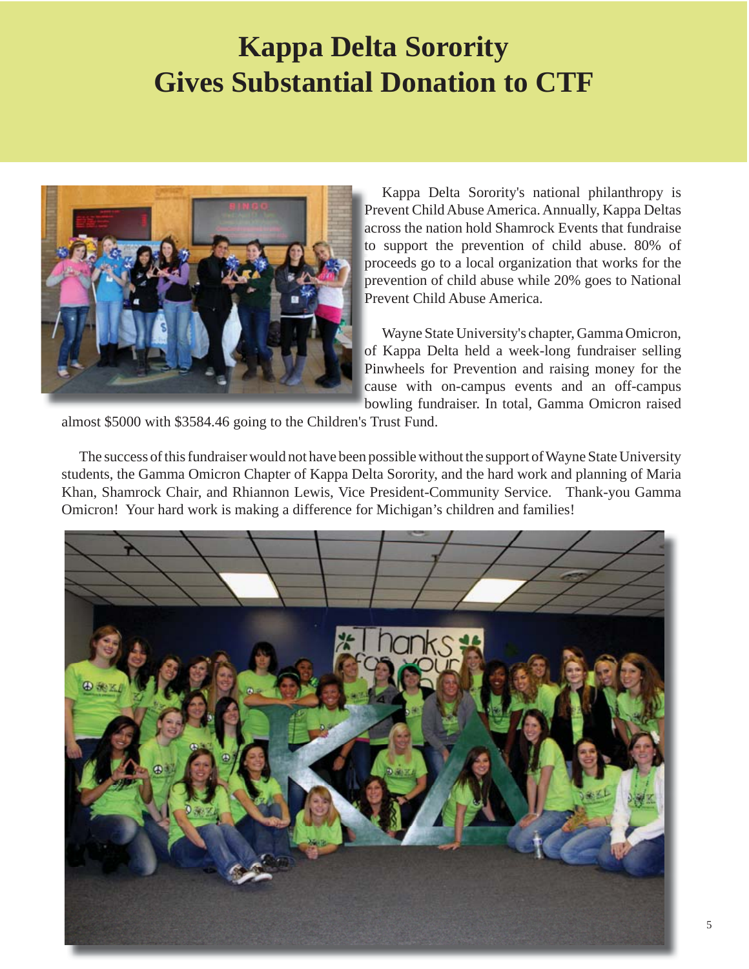# **Kappa Delta Sorority Gives Substantial Donation to CTF**



Kappa Delta Sorority's national philanthropy is Prevent Child Abuse America. Annually, Kappa Deltas Pr across the nation hold Shamrock Events that fundraise ac to support the prevention of child abuse. 80% of proceeds go to a local organization that works for the pr prevention of child abuse while 20% goes to National pr Prevent Child Abuse America. Pr

Wayne State University's chapter, Gamma Omicron, of Kappa Delta held a week-long fundraiser selling of Pinwheels for Prevention and raising money for the Pi cause with on-campus events and an off-campus ca bowling fundraiser. In total, Gamma Omicron raised bo

almost \$5000 with \$3584.46 going to the Children's Trust Fund.

The success of this fundraiser would not have been possible without the support of Wayne State University students, the Gamma Omicron Chapter of Kappa Delta Sorority, and the hard work and planning of Maria Khan, Shamrock Chair, and Rhiannon Lewis, Vice President-Community Service. Thank-you Gamma Omicron! Your hard work is making a difference for Michigan's children and families!

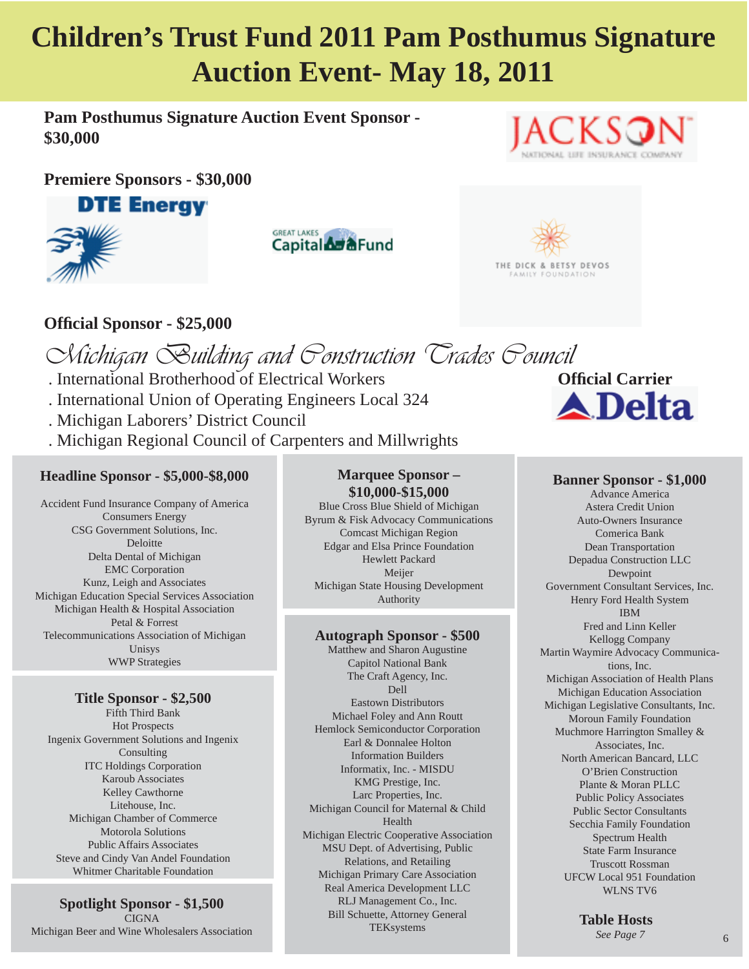# **Children's Trust Fund 2011 Pam Posthumus Signature Auction Event- May 18, 2011**

**Pam Posthumus Signature Auction Event Sponsor - \$30,000**

**Premiere Sponsors - \$30,000** 



**GREAT LAKES** Capital **Ad &**Fund





### **Offi cial Sponsor - \$25,000**

*Michigan Building and Construction Trades Council* **. International Brotherhood of Electrical Workers**  . International Union of Operating Engineers Local 324 . Michigan Laborers' District Council . Michigan Regional Council of Carpenters and Millwrights

#### **Headline Sponsor - \$5,000-\$8,000**

Accident Fund Insurance Company of America Consumers Energy CSG Government Solutions, Inc. Deloitte Delta Dental of Michigan EMC Corporation Kunz, Leigh and Associates Michigan Education Special Services Association Michigan Health & Hospital Association Petal & Forrest Telecommunications Association of Michigan Unisys WWP Strategies

#### **Title Sponsor - \$2,500**

Fifth Third Bank Hot Prospects Ingenix Government Solutions and Ingenix Consulting ITC Holdings Corporation Karoub Associates Kelley Cawthorne Litehouse, Inc. Michigan Chamber of Commerce Motorola Solutions Public Affairs Associates Steve and Cindy Van Andel Foundation Whitmer Charitable Foundation

**Spotlight Sponsor - \$1,500 CIGNA** Michigan Beer and Wine Wholesalers Association

#### **Marquee Sponsor – \$10,000-\$15,000**

Blue Cross Blue Shield of Michigan Byrum & Fisk Advocacy Communications Comcast Michigan Region Edgar and Elsa Prince Foundation Hewlett Packard Meijer Michigan State Housing Development Authority

#### **Autograph Sponsor - \$500**

Matthew and Sharon Augustine Capitol National Bank The Craft Agency, Inc. Dell Eastown Distributors Michael Foley and Ann Routt Hemlock Semiconductor Corporation Earl & Donnalee Holton Information Builders Informatix, Inc. - MISDU KMG Prestige, Inc. Larc Properties, Inc. Michigan Council for Maternal & Child Health Michigan Electric Cooperative Association MSU Dept. of Advertising, Public Relations, and Retailing Michigan Primary Care Association Real America Development LLC RLJ Management Co., Inc. Bill Schuette, Attorney General TEKsystems

**A**Delta

#### **Banner Sponsor - \$1,000**

Advance America Astera Credit Union Auto-Owners Insurance Comerica Bank Dean Transportation Depadua Construction LLC Dewpoint Government Consultant Services, Inc. Henry Ford Health System IBM Fred and Linn Keller Kellogg Company Martin Waymire Advocacy Communications, Inc. Michigan Association of Health Plans Michigan Education Association Michigan Legislative Consultants, Inc. Moroun Family Foundation Muchmore Harrington Smalley & Associates, Inc. North American Bancard, LLC O'Brien Construction Plante & Moran PLLC Public Policy Associates Public Sector Consultants Secchia Family Foundation Spectrum Health State Farm Insurance Truscott Rossman UFCW Local 951 Foundation WLNS TV6

> **Table Hosts**  *See Page 7*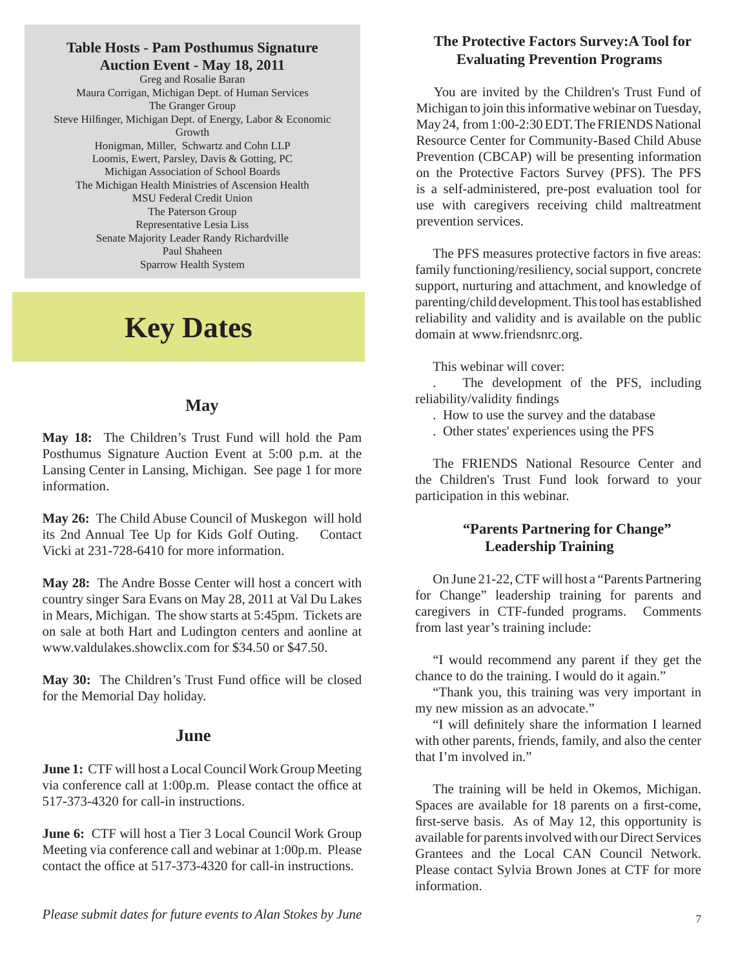#### **Table Hosts - Pam Posthumus Signature Auction Event - May 18, 2011**

Greg and Rosalie Baran Maura Corrigan, Michigan Dept. of Human Services The Granger Group Steve Hilfinger, Michigan Dept. of Energy, Labor & Economic Growth Honigman, Miller, Schwartz and Cohn LLP Loomis, Ewert, Parsley, Davis & Gotting, PC Michigan Association of School Boards The Michigan Health Ministries of Ascension Health MSU Federal Credit Union The Paterson Group Representative Lesia Liss Senate Majority Leader Randy Richardville Paul Shaheen Sparrow Health System

### **Key Dates**

#### **May**

**May 18:** The Children's Trust Fund will hold the Pam Posthumus Signature Auction Event at 5:00 p.m. at the Lansing Center in Lansing, Michigan. See page 1 for more information.

**May 26:** The Child Abuse Council of Muskegon will hold its 2nd Annual Tee Up for Kids Golf Outing. Contact Vicki at 231-728-6410 for more information.

**May 28:** The Andre Bosse Center will host a concert with country singer Sara Evans on May 28, 2011 at Val Du Lakes in Mears, Michigan. The show starts at 5:45pm. Tickets are on sale at both Hart and Ludington centers and aonline at www.valdulakes.showclix.com for \$34.50 or \$47.50.

May 30: The Children's Trust Fund office will be closed for the Memorial Day holiday.

#### **June**

**June 1:** CTF will host a Local Council Work Group Meeting via conference call at 1:00p.m. Please contact the office at 517-373-4320 for call-in instructions.

**June 6:** CTF will host a Tier 3 Local Council Work Group Meeting via conference call and webinar at 1:00p.m. Please contact the office at 517-373-4320 for call-in instructions.

#### **The Protective Factors Survey:A Tool for Evaluating Prevention Programs**

You are invited by the Children's Trust Fund of Michigan to join this informative webinar on Tuesday, May 24, from 1:00-2:30 EDT. The FRIENDS National Resource Center for Community-Based Child Abuse Prevention (CBCAP) will be presenting information on the Protective Factors Survey (PFS). The PFS is a self-administered, pre-post evaluation tool for use with caregivers receiving child maltreatment prevention services.

The PFS measures protective factors in five areas: family functioning/resiliency, social support, concrete support, nurturing and attachment, and knowledge of parenting/child development. This tool has established reliability and validity and is available on the public domain at www.friendsnrc.org.

This webinar will cover:

. The development of the PFS, including reliability/validity findings

- . How to use the survey and the database
- . Other states' experiences using the PFS

The FRIENDS National Resource Center and the Children's Trust Fund look forward to your participation in this webinar.

#### **"Parents Partnering for Change" Leadership Training**

On June 21-22, CTF will host a "Parents Partnering for Change" leadership training for parents and caregivers in CTF-funded programs. Comments from last year's training include:

"I would recommend any parent if they get the chance to do the training. I would do it again."

"Thank you, this training was very important in my new mission as an advocate."

"I will definitely share the information I learned with other parents, friends, family, and also the center that I'm involved in."

The training will be held in Okemos, Michigan. Spaces are available for 18 parents on a first-come, first-serve basis. As of May 12, this opportunity is available for parents involved with our Direct Services Grantees and the Local CAN Council Network. Please contact Sylvia Brown Jones at CTF for more information.